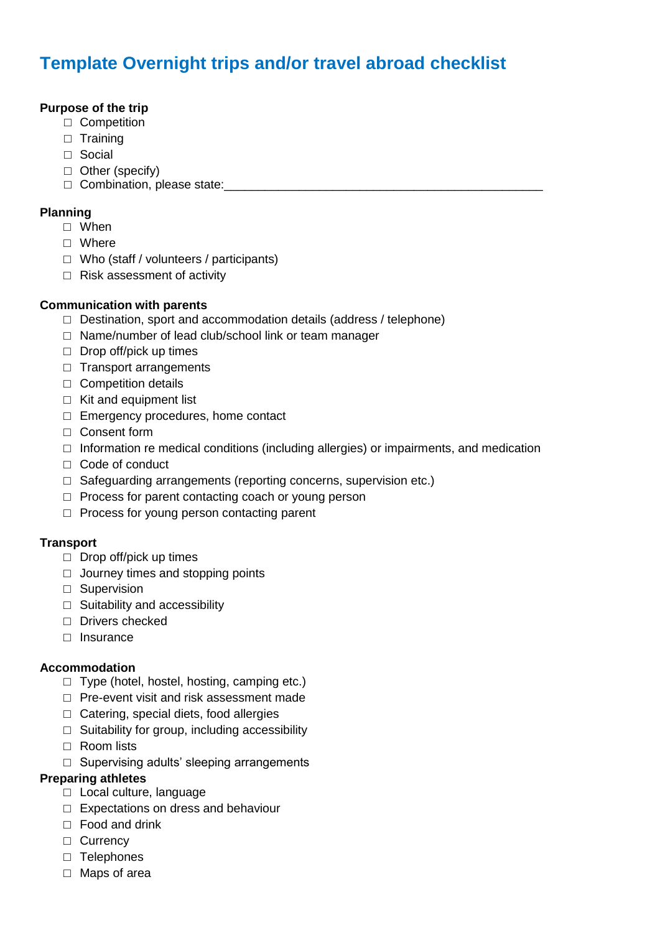# **Template Overnight trips and/or travel abroad checklist**

# **Purpose of the trip**

- □ Competition
- □ Training
- □ Social
- □ Other (specify)
- $\Box$  Combination, please state:

## **Planning**

- □ When
- □ Where
- $\Box$  Who (staff / volunteers / participants)
- □ Risk assessment of activity

### **Communication with parents**

- $\Box$  Destination, sport and accommodation details (address / telephone)
- □ Name/number of lead club/school link or team manager
- $\Box$  Drop off/pick up times
- □ Transport arrangements
- □ Competition details
- $\Box$  Kit and equipment list
- □ Emergency procedures, home contact
- □ Consent form
- $\Box$  Information re medical conditions (including allergies) or impairments, and medication
- □ Code of conduct
- $\Box$  Safeguarding arrangements (reporting concerns, supervision etc.)
- $\Box$  Process for parent contacting coach or young person
- □ Process for young person contacting parent

# **Transport**

- $\Box$  Drop off/pick up times
- $\Box$  Journey times and stopping points
- □ Supervision
- $\Box$  Suitability and accessibility
- □ Drivers checked
- □ Insurance

# **Accommodation**

- $\Box$  Type (hotel, hostel, hosting, camping etc.)
- □ Pre-event visit and risk assessment made
- $\Box$  Catering, special diets, food allergies
- $\Box$  Suitability for group, including accessibility
- □ Room lists
- □ Supervising adults' sleeping arrangements

# **Preparing athletes**

- □ Local culture, language
- □ Expectations on dress and behaviour
- □ Food and drink
- □ Currency
- □ Telephones
- □ Maps of area